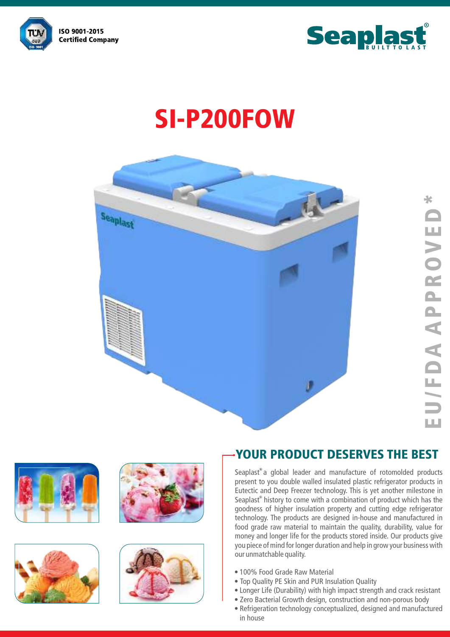



# SI-P200FOW











### YOUR PRODUCT DESERVES THE BEST

Seaplast $^{\circ}$ a global leader and manufacture of rotomolded products present to you double walled insulated plastic refrigerator products in Eutectic and Deep Freezer technology. This is yet another milestone in Seaplast<sup>®</sup> history to come with a combination of product which has the goodness of higher insulation property and cutting edge refrigerator technology. The products are designed in-house and manufactured in food grade raw material to maintain the quality, durability, value for money and longer life for the products stored inside. Our products give you piece of mind for longer duration and help in grow your business with our unmatchable quality.

- 100% Food Grade Raw Material
- Top Quality PE Skin and PUR Insulation Quality
- Longer Life (Durability) with high impact strength and crack resistant
- Zero Bacterial Growth design, construction and non-porous body
- Refrigeration technology conceptualized, designed and manufactured in house